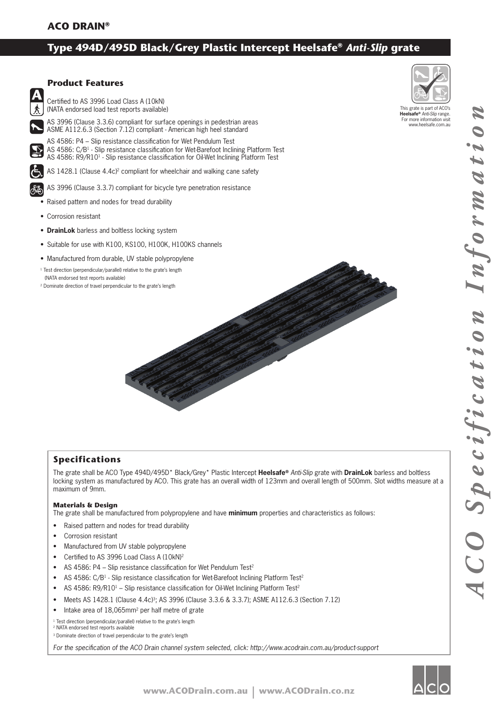# **Type 494D/495D Black/Grey Plastic Intercept Heelsafe®** *Anti-Slip* **grate**



# **Product Features**

Certified to AS 3996 Load Class A (10kN) (NATA endorsed load test reports available)

AS 3996 (Clause 3.3.6) compliant for surface openings in pedestrian areas ASME A112.6.3 (Section 7.12) compliant - American high heel standard

AS 4586: P4 – Slip resistance classification for Wet Pendulum Test AS 4586: C/B<sup>1</sup> - Slip resistance classification for Wet-Barefoot Inclining Platform Test AS 4586: R9/R10<sup>1</sup> - Slip resistance classification for Oil-Wet Inclining Platform Test

AS 1428.1 (Clause 4.4c)<sup>2</sup> compliant for wheelchair and walking cane safety

AS 3996 (Clause 3.3.7) compliant for bicycle tyre penetration resistance

• Raised pattern and nodes for tread durability

- Corrosion resistant
- **DrainLok** barless and boltless locking system
- Suitable for use with K100, KS100, H100K, H100KS channels
- Manufactured from durable, UV stable polypropylene
- <sup>1</sup> Test direction (perpendicular/parallel) relative to the grate's length (NATA endorsed test reports available)
- 2 Dominate direction of travel perpendicular to the grate's length



### This grate is part of ACO's **Heelsafe®** *Anti-Slip* range. For more information visit www.heelsafe.com.au

# *ACO Specification Information* ACO Specification

Informatio

# **Specifications**

The grate shall be ACO Type 494D/495D\* Black/Grey\* Plastic Intercept **Heelsafe®** *Anti-Slip* grate with **DrainLok** barless and boltless locking system as manufactured by ACO. This grate has an overall width of 123mm and overall length of 500mm. Slot widths measure at a maximum of 9mm.

### **Materials & Design**

The grate shall be manufactured from polypropylene and have **minimum** properties and characteristics as follows:

- Raised pattern and nodes for tread durability
- Corrosion resistant
- Manufactured from UV stable polypropylene
- Certified to AS 3996 Load Class A (10kN)<sup>2</sup>
- AS 4586: P4 Slip resistance classification for Wet Pendulum Test<sup>2</sup>
- AS 4586: C/B<sup>1</sup> Slip resistance classification for Wet-Barefoot Inclining Platform Test<sup>2</sup>
- AS 4586: R9/R10<sup>1</sup> Slip resistance classification for Oil-Wet Inclining Platform Test<sup>2</sup>
- Meets AS 1428.1 (Clause 4.4c)<sup>3</sup>; AS 3996 (Clause 3.3.6 & 3.3.7); ASME A112.6.3 (Section 7.12)
- Intake area of 18,065mm<sup>2</sup> per half metre of grate

<sup>1</sup> Test direction (perpendicular/parallel) relative to the grate's length 2 NATA endorsed test reports available

<sup>3</sup> Dominate direction of travel perpendicular to the grate's length

For the specification of the ACO Drain channel system selected, click: http://www.acodrain.com.au/product-support